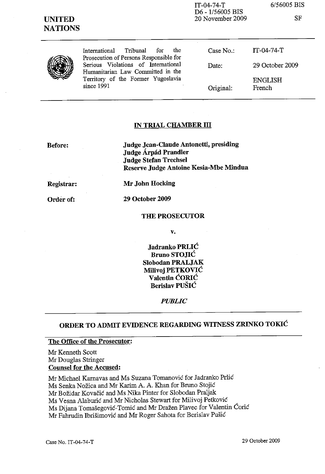| <b>UNITED</b><br><b>NATIONS</b> |                                                                                                                                                                                                                            | D <sub>6</sub> - 1/56005 BIS<br>20 November 2009 | SF                       |
|---------------------------------|----------------------------------------------------------------------------------------------------------------------------------------------------------------------------------------------------------------------------|--------------------------------------------------|--------------------------|
|                                 | Tribunal<br>the<br>for<br><i>International</i><br>Prosecution of Persons Responsible for<br>Serious Violations of International<br>Humanitarian Law Committed in the<br>Territory of the Former Yugoslavia<br>since $1991$ | Case No.                                         | $IT-04-74-T$             |
|                                 |                                                                                                                                                                                                                            | Date:                                            | 29 October 2009          |
|                                 |                                                                                                                                                                                                                            | Original:                                        | <b>ENGLISH</b><br>French |

IT-04-74-T

*6/56005* BIS

#### IN TRIAL CHAMBER III

Before:

Judge Jean-Claude Antonetti, presiding Judge Árpád Prandler Judge Stefan Trechsel Reserve Judge Antoine Kesia-Mbe Mindua

Registrar:

Order of:

Mr John Hocking

29 October 2009

#### THE PROSECUTOR

v.

Jadranko PRLIC Bruno STOJIC Slobodan PRALJAK Milivoj PETKOVIC Valentin CORlC Berislav PUSIC

#### *PUBLIC*

# ORDER TO ADMIT EVIDENCE REGARDING WITNESS ZRINKO TOKIC

### The Office of the Prosecutor:

Mr Kenneth Scott Mr Douglas Stringer Counsel for the Accused:

Mr Michael Karnavas and Ms Suzana Tomanović for Jadranko Prlić Ms Senka Nožica and Mr Karim A. A. Khan for Bruno Stojić Mr Božidar Kovačić and Ms Nika Pinter for Slobodan Praljak Ms Vesna Alaburić and Mr Nicholas Stewart for Milivoj Petković Ms Dijana Tomasegovie-Tomie and Mr Drazen Plavec for Valentin Corie Mr Fahrudin Ibrišimović and Mr Roger Sahota for Berislav Pušić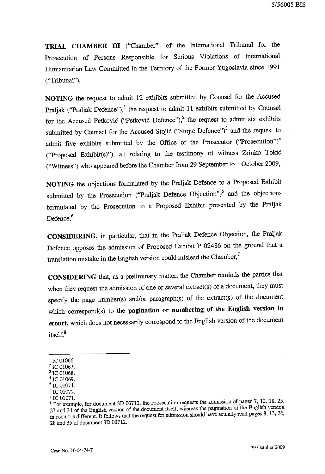**TRIAL CHAMBER ill** ("Chamber") of the International Tribunal for the Prosecution of Persons Responsible for Serious Violations of International Humanitarian Law Committed in the Territory of the Former Yugoslavia since 1991 ("Tribunal"),

**NOTING** the request to admit 12 exhibits submitted by Counsel for the Accused Praljak ("Praljak Defence"), $^1$  the request to admit 11 exhibits submitted by Counsel for the Accused Petković ("Petković Defence"),<sup>2</sup> the request to admit six exhibits submitted by Counsel for the Accused Stojic ("Stojic Defence") $3$  and the request to admit five exhibits submitted by the Office of the Prosecutor  $("Presection")^4$ ("Proposed Exhibit(s)"), all relating to the testimony of witness Zrinko Tokic ("Witness") who appeared before the Chamber from 29 September to 1 October 2009,

**NOTING** the objections formulated by the Praljak Defence to a Proposed Exhibit submitted by the Prosecution ("Praljak Defence Objection") $<sup>5</sup>$  and the objections</sup> formulated by the Prosecution to a Proposed Exhibit presented by the Praljak Defence,<sup>6</sup>

**CONSIDERING,** in particular, that in the Praljak Defence Objection, the Praljak Defence opposes the admission of Proposed Exhibit P 02486 on the ground that a translation mistake in the English version could mislead the Chamber,<sup>7</sup>

**CONSIDERING** that, as a preliminary matter, the Chamber reminds the parties that when they request the admission of one or several extract(s) of a document, they must specify the page number(s) and/or paragraph(s) of the extract(s) of the document which correspond(s) to the **pagination or numbering of the English version in ecourt,** which does not necessarily correspond to the English version of the document itself.<sup>8</sup>

 $1$  IC 01066.

<sup>&</sup>lt;sup>2</sup> IC 01067.  $3$  IC 01068.

<sup>&</sup>lt;sup>4</sup> IC 01069.

 $5$  IC 01071.

 $6$  IC 01072.

<sup>&</sup>lt;sup>7</sup> IC 01071.

<sup>&</sup>lt;sup>8</sup> For example, for document 3D 03712, the Prosecution requests the admission of pages 7, 12, 18, 25, 27 and 34 of the English version of the document itself, whereas the pagination of the English version in ecourt is different. It follows that the request for admission should have actually read pages 8, 13, 26, 28 and 35 of document 3D 03712.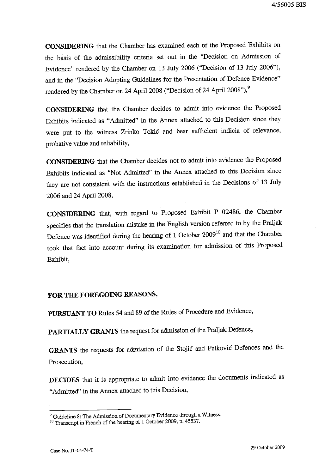**CONSIDERING** that the Chamber has examined each of the Proposed Exhibits on the basis of the admissibility criteria set out in the "Decision on Admission of Evidence" rendered by the Chamber on 13 July 2006 ("Decision of 13 July 2006"), and in the "Decision Adopting Guidelines for the Presentation of Defence Evidence" rendered by the Chamber on 24 April 2008 ("Decision of 24 April 2008"),<sup>9</sup>

**CONSIDERING** that the Chamber decides to admit into evidence the Proposed Exhibits indicated as "Admitted" in the Annex attached to this Decision since they were put to the witness Zrinko Tokić and bear sufficient indicia of relevance, probative value and reliability,

**CONSIDERING** that the Chamber decides not to admit into evidence the Proposed Exhibits indicated as "Not Admitted" in the Annex attached to this Decision since they are not consistent with the instructions established in the Decisions of 13 July 2006 and 24 April 2008,

**CONSIDERING** that, with regard to Proposed Exhibit P 02486, the Chamber specifies that the translation mistake in the English version referred to by the Praljak Defence was identified during the hearing of 1 October 2009<sup>10</sup> and that the Chamber took that fact into account during its examination for admission of this Proposed Exhibit,

## **FOR THE FOREGOING REASONS,**

**PURSUANT TO** Rules 54 and 89 of the Rules of Procedure and Evidence,

**PARTIALLY GRANTS** the request for admission of the Praljak Defence,

GRANTS the requests for admission of the Stojić and Petković Defences and the Prosecution,

**DECIDES** that it is appropriate to admit into evidence the documents indicated as "Admitted" in the Annex attached to this Decision,

<sup>&</sup>lt;sup>9</sup> Guideline 8: The Admission of Documentary Evidence through a Witness.

<sup>&</sup>lt;sup>10</sup> Transcript in French of the hearing of 1 October 2009, p. 45537.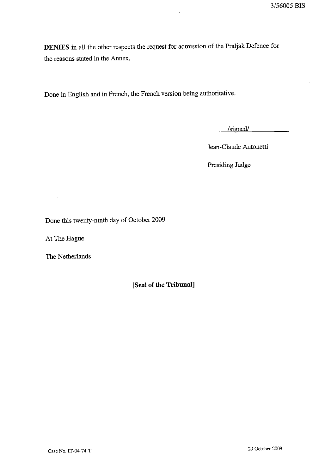**DENIES** in all the other respects the request for admission of the Praljak Defence for the reasons stated in the Annex,

Done in English and in French, the French version being authoritative.

/signed/

 $\overline{\phantom{a}}$ 

Jean-Claude Antonetti

Presiding Judge

Done this twenty-ninth day of October 2009

At The Hague

The Netherlands

**[Seal of the Tribunal]**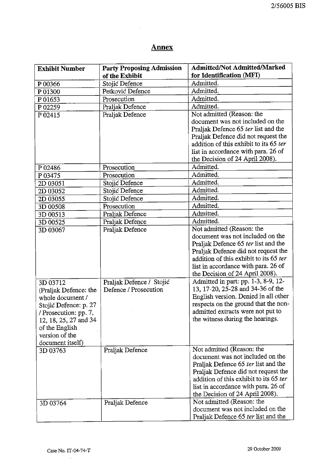# **Annex**

 $\ddot{\phantom{a}}$ 

| <b>Exhibit Number</b> | <b>Party Proposing Admission</b>   | <b>Admitted/Not Admitted/Marked</b>    |
|-----------------------|------------------------------------|----------------------------------------|
|                       | of the Exhibit                     | for Identification (MFI)<br>Admitted.  |
| P00366                | Stojić Defence<br>Petković Defence | Admitted.                              |
| P 01300               | Prosecution                        | Admitted.                              |
| P 01653               |                                    | Admitted.                              |
| P 02259               | Praljak Defence<br>Praljak Defence | Not admitted (Reason: the              |
| P 02415               |                                    | document was not included on the       |
|                       |                                    | Praljak Defence 65 ter list and the    |
|                       |                                    | Praljak Defence did not request the    |
|                       |                                    | addition of this exhibit to its 65 ter |
|                       |                                    | list in accordance with para. 26 of    |
|                       |                                    | the Decision of 24 April 2008).        |
| P 02486               | Prosecution                        | Admitted.                              |
| P03475                | Prosecution                        | Admitted.                              |
| 2D 03051              | Stojić Defence                     | Admitted.                              |
| 2D 03052              | Stojić Defence                     | Admitted.                              |
| 2D 03055              | Stojić Defence                     | Admitted.                              |
| 3D 00508              | Prosecution                        | Admitted.                              |
| 3D 00513              | Praljak Defence                    | Admitted.                              |
| 3D 00525              | Praljak Defence                    | Admitted.                              |
| 3D 03067              | Praljak Defence                    | Not admitted (Reason: the              |
|                       |                                    | document was not included on the       |
|                       |                                    | Praljak Defence 65 ter list and the    |
|                       |                                    | Praljak Defence did not request the    |
|                       |                                    | addition of this exhibit to its 65 ter |
|                       |                                    | list in accordance with para. 26 of    |
|                       |                                    | the Decision of 24 April 2008).        |
| 3D 03712              | Praljak Defence / Stojić           | Admitted in part: pp. 1-3, 8-9, 12-    |
| (Praljak Defence: the | Defence / Prosecution              | 13, 17-20, 25-28 and 34-36 of the      |
| whole document /      |                                    | English version. Denied in all other   |
| Stojić Defence: p. 27 |                                    | respects on the ground that the non-   |
| / Prosecution: pp. 7, |                                    | admitted extracts were not put to      |
| 12, 18, 25, 27 and 34 |                                    | the witness during the hearings.       |
| of the English        |                                    |                                        |
| version of the        |                                    |                                        |
| document itself)      |                                    |                                        |
| 3D 03763              | Praljak Defence                    | Not admitted (Reason: the              |
|                       |                                    | document was not included on the       |
|                       |                                    | Praljak Defence 65 ter list and the    |
|                       |                                    | Praljak Defence did not request the    |
|                       |                                    | addition of this exhibit to its 65 ter |
|                       |                                    | list in accordance with para. 26 of    |
|                       |                                    | the Decision of 24 April 2008).        |
| 3D 03764              | Praljak Defence                    | Not admitted (Reason: the              |
|                       |                                    | document was not included on the       |
|                       |                                    | Praljak Defence 65 ter list and the    |